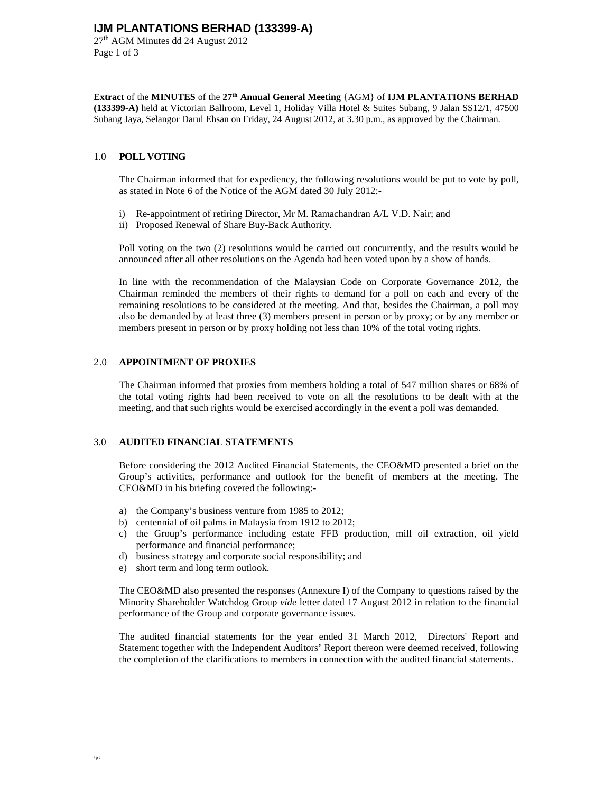27th AGM Minutes dd 24 August 2012 Page 1 of 3

**Extract** of the **MINUTES** of the **27th Annual General Meeting** {AGM} of **IJM PLANTATIONS BERHAD (133399-A)** held at Victorian Ballroom, Level 1, Holiday Villa Hotel & Suites Subang, 9 Jalan SS12/1, 47500 Subang Jaya, Selangor Darul Ehsan on Friday, 24 August 2012, at 3.30 p.m., as approved by the Chairman.

#### 1.0 **POLL VOTING**

The Chairman informed that for expediency, the following resolutions would be put to vote by poll, as stated in Note 6 of the Notice of the AGM dated 30 July 2012:-

- i) Re-appointment of retiring Director, Mr M. Ramachandran A/L V.D. Nair; and
- ii) Proposed Renewal of Share Buy-Back Authority.

Poll voting on the two (2) resolutions would be carried out concurrently, and the results would be announced after all other resolutions on the Agenda had been voted upon by a show of hands.

In line with the recommendation of the Malaysian Code on Corporate Governance 2012, the Chairman reminded the members of their rights to demand for a poll on each and every of the remaining resolutions to be considered at the meeting. And that, besides the Chairman, a poll may also be demanded by at least three (3) members present in person or by proxy; or by any member or members present in person or by proxy holding not less than 10% of the total voting rights.

#### 2.0 **APPOINTMENT OF PROXIES**

The Chairman informed that proxies from members holding a total of 547 million shares or 68% of the total voting rights had been received to vote on all the resolutions to be dealt with at the meeting, and that such rights would be exercised accordingly in the event a poll was demanded.

### 3.0 **AUDITED FINANCIAL STATEMENTS**

Before considering the 2012 Audited Financial Statements, the CEO&MD presented a brief on the Group's activities, performance and outlook for the benefit of members at the meeting. The CEO&MD in his briefing covered the following:-

- a) the Company's business venture from 1985 to 2012;
- b) centennial of oil palms in Malaysia from 1912 to 2012;
- c) the Group's performance including estate FFB production, mill oil extraction, oil yield performance and financial performance;
- d) business strategy and corporate social responsibility; and
- e) short term and long term outlook.

The CEO&MD also presented the responses (Annexure I) of the Company to questions raised by the Minority Shareholder Watchdog Group *vide* letter dated 17 August 2012 in relation to the financial performance of the Group and corporate governance issues.

The audited financial statements for the year ended 31 March 2012, Directors' Report and Statement together with the Independent Auditors' Report thereon were deemed received, following the completion of the clarifications to members in connection with the audited financial statements.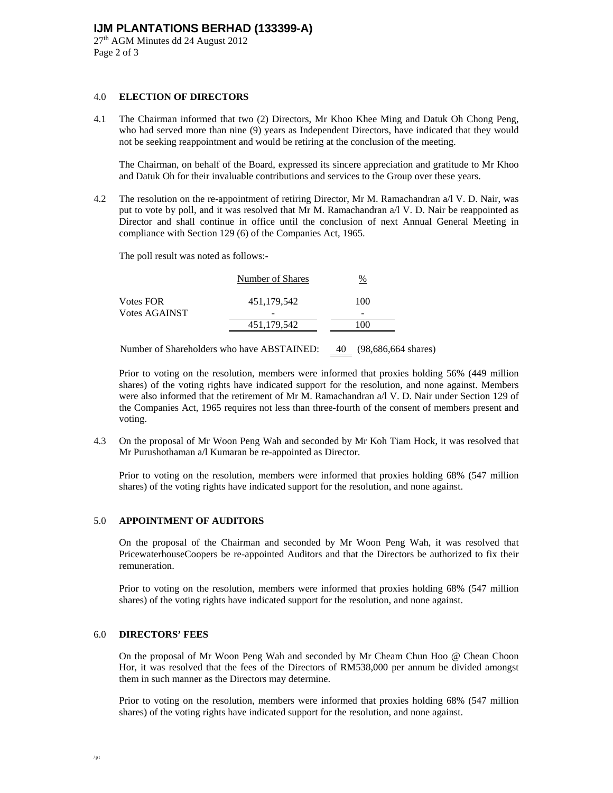27th AGM Minutes dd 24 August 2012 Page 2 of 3

#### 4.0 **ELECTION OF DIRECTORS**

4.1 The Chairman informed that two (2) Directors, Mr Khoo Khee Ming and Datuk Oh Chong Peng, who had served more than nine (9) years as Independent Directors, have indicated that they would not be seeking reappointment and would be retiring at the conclusion of the meeting.

 The Chairman, on behalf of the Board, expressed its sincere appreciation and gratitude to Mr Khoo and Datuk Oh for their invaluable contributions and services to the Group over these years.

4.2 The resolution on the re-appointment of retiring Director, Mr M. Ramachandran a/l V. D. Nair, was put to vote by poll, and it was resolved that Mr M. Ramachandran a/l V. D. Nair be reappointed as Director and shall continue in office until the conclusion of next Annual General Meeting in compliance with Section 129 (6) of the Companies Act, 1965.

The poll result was noted as follows:-

|                  | Number of Shares | %   |  |
|------------------|------------------|-----|--|
| <b>Votes FOR</b> | 451,179,542      | 100 |  |
| Votes AGAINST    | -                | -   |  |
|                  | 451,179,542      | 100 |  |
|                  | .                |     |  |

Number of Shareholders who have ABSTAINED: 40 (98,686,664 shares)

 Prior to voting on the resolution, members were informed that proxies holding 56% (449 million shares) of the voting rights have indicated support for the resolution, and none against. Members were also informed that the retirement of Mr M. Ramachandran a/l V. D. Nair under Section 129 of the Companies Act, 1965 requires not less than three-fourth of the consent of members present and voting.

4.3 On the proposal of Mr Woon Peng Wah and seconded by Mr Koh Tiam Hock, it was resolved that Mr Purushothaman a/l Kumaran be re-appointed as Director.

 Prior to voting on the resolution, members were informed that proxies holding 68% (547 million shares) of the voting rights have indicated support for the resolution, and none against.

#### 5.0 **APPOINTMENT OF AUDITORS**

On the proposal of the Chairman and seconded by Mr Woon Peng Wah, it was resolved that PricewaterhouseCoopers be re-appointed Auditors and that the Directors be authorized to fix their remuneration.

Prior to voting on the resolution, members were informed that proxies holding 68% (547 million shares) of the voting rights have indicated support for the resolution, and none against.

#### 6.0 **DIRECTORS' FEES**

On the proposal of Mr Woon Peng Wah and seconded by Mr Cheam Chun Hoo @ Chean Choon Hor, it was resolved that the fees of the Directors of RM538,000 per annum be divided amongst them in such manner as the Directors may determine.

Prior to voting on the resolution, members were informed that proxies holding 68% (547 million shares) of the voting rights have indicated support for the resolution, and none against.